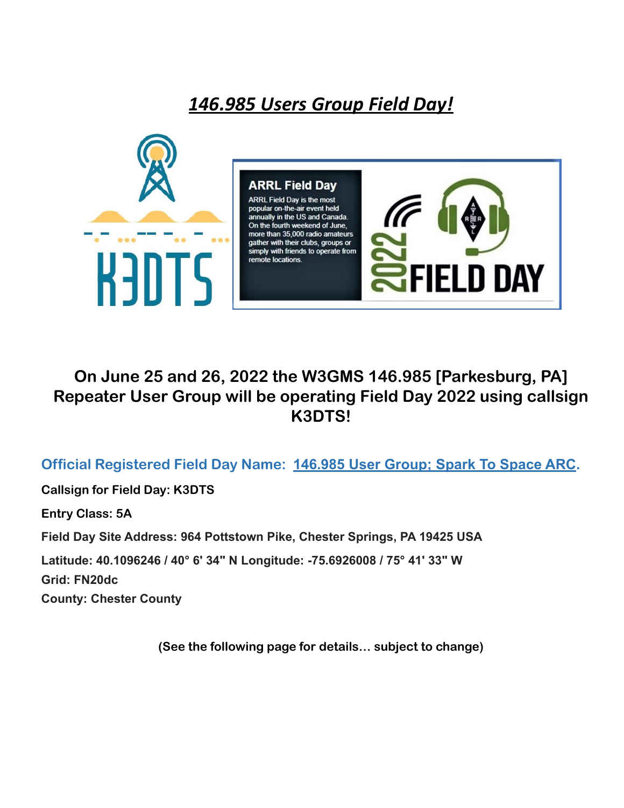## *146.985 Users Group Field Day!*



## **On June 25 and 26, 2022 the W3GMS 146.985 [Parkesburg, PA] Repeater User Group will be operating Field Day 2022 using callsign K3DTS!**

**Official Registered Field Day Name: 146.985 User Group; Spark To Space ARC.**

**Callsign for Field Day: K3DTS**

**Entry Class: 5A**

**Field Day Site Address: 964 Pottstown Pike, Chester Springs, PA 19425 USA**

**Latitude: 40.1096246 / 40° 6' 34" N Longitude: -75.6926008 / 75° 41' 33" W**

**Grid: FN20dc**

**County: Chester County**

**(See the following page for details… subject to change)**